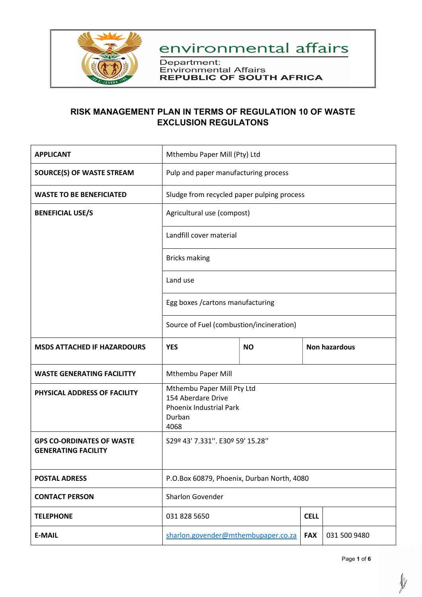

Department: Environmental Affairs<br>REPUBLIC OF SOUTH AFRICA

### RISK MANAGEMENT PLAN IN TERMS OF REGULATION 10 OF WASTE EXCLUSION REGULATONS

| <b>APPLICANT</b>                                               | Mthembu Paper Mill (Pty) Ltd                                                                  |           |  |                      |
|----------------------------------------------------------------|-----------------------------------------------------------------------------------------------|-----------|--|----------------------|
| <b>SOURCE(S) OF WASTE STREAM</b>                               | Pulp and paper manufacturing process                                                          |           |  |                      |
| <b>WASTE TO BE BENEFICIATED</b>                                | Sludge from recycled paper pulping process                                                    |           |  |                      |
| <b>BENEFICIAL USE/S</b>                                        | Agricultural use (compost)                                                                    |           |  |                      |
|                                                                | Landfill cover material                                                                       |           |  |                      |
|                                                                | <b>Bricks making</b>                                                                          |           |  |                      |
|                                                                | Land use                                                                                      |           |  |                      |
|                                                                | Egg boxes / cartons manufacturing                                                             |           |  |                      |
|                                                                | Source of Fuel (combustion/incineration)                                                      |           |  |                      |
| <b>MSDS ATTACHED IF HAZARDOURS</b>                             | <b>YES</b>                                                                                    | <b>NO</b> |  | <b>Non hazardous</b> |
| <b>WASTE GENERATING FACILITTY</b>                              | Mthembu Paper Mill                                                                            |           |  |                      |
| PHYSICAL ADDRESS OF FACILITY                                   | Mthembu Paper Mill Pty Ltd<br>154 Aberdare Drive<br>Phoenix Industrial Park<br>Durban<br>4068 |           |  |                      |
| <b>GPS CO-ORDINATES OF WASTE</b><br><b>GENERATING FACILITY</b> | S29º 43' 7.331". E30º 59' 15.28"                                                              |           |  |                      |
| <b>POSTAL ADRESS</b>                                           | P.O.Box 60879, Phoenix, Durban North, 4080                                                    |           |  |                      |
| <b>CONTACT PERSON</b>                                          | Sharlon Govender                                                                              |           |  |                      |
| <b>TELEPHONE</b>                                               | 031 828 5650<br><b>CELL</b>                                                                   |           |  |                      |
| <b>E-MAIL</b>                                                  | sharlon.govender@mthembupaper.co.za<br><b>FAX</b><br>031 500 9480                             |           |  |                      |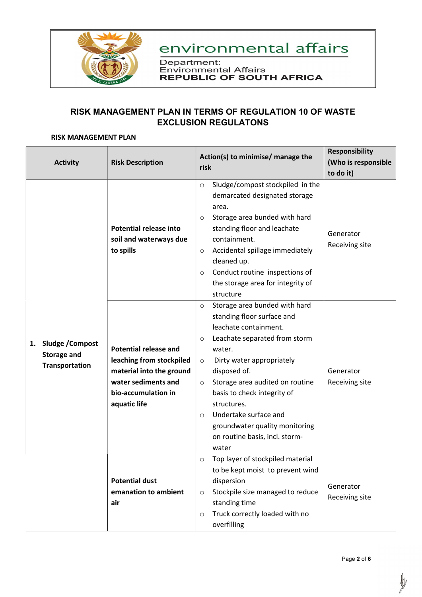

Department: Environmental Affairs<br>REPUBLIC OF SOUTH AFRICA

### RISK MANAGEMENT PLAN IN TERMS OF REGULATION 10 OF WASTE EXCLUSION REGULATONS

#### RISK MANAGEMENT PLAN

|                                                                       |                                                                                                                                                    | Action(s) to minimise/ manage the                                                                                                                                                                                                                                                                                                                                                                                          | <b>Responsibility</b>       |
|-----------------------------------------------------------------------|----------------------------------------------------------------------------------------------------------------------------------------------------|----------------------------------------------------------------------------------------------------------------------------------------------------------------------------------------------------------------------------------------------------------------------------------------------------------------------------------------------------------------------------------------------------------------------------|-----------------------------|
| <b>Activity</b>                                                       | <b>Risk Description</b>                                                                                                                            | risk                                                                                                                                                                                                                                                                                                                                                                                                                       | (Who is responsible         |
|                                                                       |                                                                                                                                                    |                                                                                                                                                                                                                                                                                                                                                                                                                            | to do it)                   |
| Sludge / Compost<br>1.<br><b>Storage and</b><br><b>Transportation</b> | <b>Potential release into</b><br>soil and waterways due<br>to spills                                                                               | Sludge/compost stockpiled in the<br>$\circ$<br>demarcated designated storage<br>area.<br>Storage area bunded with hard<br>$\circ$<br>standing floor and leachate<br>containment.<br>Accidental spillage immediately<br>$\circ$<br>cleaned up.<br>Conduct routine inspections of<br>$\circ$<br>the storage area for integrity of<br>structure                                                                               | Generator<br>Receiving site |
|                                                                       | <b>Potential release and</b><br>leaching from stockpiled<br>material into the ground<br>water sediments and<br>bio-accumulation in<br>aquatic life | Storage area bunded with hard<br>$\circ$<br>standing floor surface and<br>leachate containment.<br>Leachate separated from storm<br>$\circ$<br>water.<br>Dirty water appropriately<br>$\circ$<br>disposed of.<br>Storage area audited on routine<br>$\circ$<br>basis to check integrity of<br>structures.<br>Undertake surface and<br>$\circ$<br>groundwater quality monitoring<br>on routine basis, incl. storm-<br>water | Generator<br>Receiving site |
|                                                                       | <b>Potential dust</b><br>emanation to ambient<br>air                                                                                               | Top layer of stockpiled material<br>$\circ$<br>to be kept moist to prevent wind<br>dispersion<br>Stockpile size managed to reduce<br>$\circ$<br>standing time<br>Truck correctly loaded with no<br>$\circ$<br>overfilling                                                                                                                                                                                                  | Generator<br>Receiving site |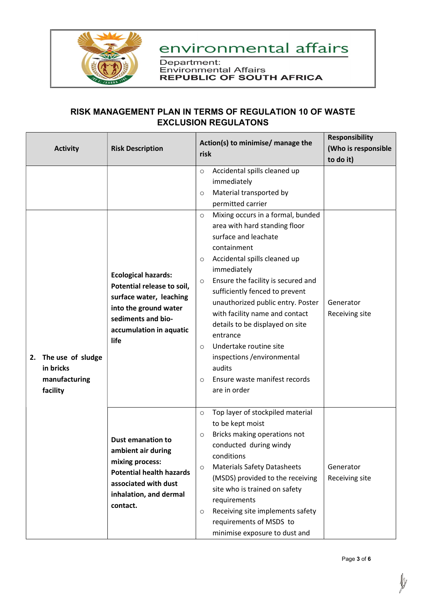

Department: Environmental Affairs<br>REPUBLIC OF SOUTH AFRICA

### RISK MANAGEMENT PLAN IN TERMS OF REGULATION 10 OF WASTE EXCLUSION REGULATONS

| <b>Activity</b>                                                | <b>Risk Description</b>                                                                                                                                               | Action(s) to minimise/ manage the<br>risk                                                                                                                                                                                                                                                                                                                                                                                                                                                                                                                                                                                                              | <b>Responsibility</b><br>(Who is responsible |
|----------------------------------------------------------------|-----------------------------------------------------------------------------------------------------------------------------------------------------------------------|--------------------------------------------------------------------------------------------------------------------------------------------------------------------------------------------------------------------------------------------------------------------------------------------------------------------------------------------------------------------------------------------------------------------------------------------------------------------------------------------------------------------------------------------------------------------------------------------------------------------------------------------------------|----------------------------------------------|
|                                                                |                                                                                                                                                                       |                                                                                                                                                                                                                                                                                                                                                                                                                                                                                                                                                                                                                                                        | to do it)                                    |
| 2. The use of sludge<br>in bricks<br>manufacturing<br>facility | <b>Ecological hazards:</b><br>Potential release to soil,<br>surface water, leaching<br>into the ground water<br>sediments and bio-<br>accumulation in aquatic<br>life | Accidental spills cleaned up<br>$\circ$<br>immediately<br>Material transported by<br>$\circ$<br>permitted carrier<br>Mixing occurs in a formal, bunded<br>$\circ$<br>area with hard standing floor<br>surface and leachate<br>containment<br>Accidental spills cleaned up<br>$\circ$<br>immediately<br>Ensure the facility is secured and<br>$\circ$<br>sufficiently fenced to prevent<br>unauthorized public entry. Poster<br>with facility name and contact<br>details to be displayed on site<br>entrance<br>Undertake routine site<br>$\circ$<br>inspections / environmental<br>audits<br>Ensure waste manifest records<br>$\circ$<br>are in order | Generator<br>Receiving site                  |
|                                                                | <b>Dust emanation to</b><br>ambient air during<br>mixing process:<br><b>Potential health hazards</b><br>associated with dust<br>inhalation, and dermal<br>contact.    | Top layer of stockpiled material<br>$\circ$<br>to be kept moist<br>Bricks making operations not<br>$\circ$<br>conducted during windy<br>conditions<br><b>Materials Safety Datasheets</b><br>$\circ$<br>(MSDS) provided to the receiving<br>site who is trained on safety<br>requirements<br>Receiving site implements safety<br>$\circ$<br>requirements of MSDS to<br>minimise exposure to dust and                                                                                                                                                                                                                                                    | Generator<br>Receiving site                  |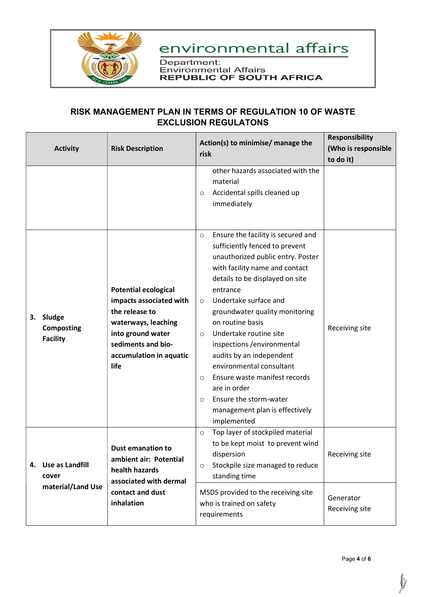

Department: Environmental Affairs<br>REPUBLIC OF SOUTH AFRICA

### RISK MANAGEMENT PLAN IN TERMS OF REGULATION 10 OF WASTE EXCLUSION REGULATONS

|                                                            | <b>Activity</b>                                | <b>Risk Description</b>                                                                                                                                                       | Action(s) to minimise/ manage the<br>risk<br>other hazards associated with the<br>material<br>Accidental spills cleaned up<br>$\circ$<br>immediately                                                                                                                                                                                                                                                                                                                                                                                                                          | <b>Responsibility</b><br>(Who is responsible<br>to do it) |
|------------------------------------------------------------|------------------------------------------------|-------------------------------------------------------------------------------------------------------------------------------------------------------------------------------|-------------------------------------------------------------------------------------------------------------------------------------------------------------------------------------------------------------------------------------------------------------------------------------------------------------------------------------------------------------------------------------------------------------------------------------------------------------------------------------------------------------------------------------------------------------------------------|-----------------------------------------------------------|
| 3.                                                         | Sludge<br><b>Composting</b><br><b>Facility</b> | <b>Potential ecological</b><br>impacts associated with<br>the release to<br>waterways, leaching<br>into ground water<br>sediments and bio-<br>accumulation in aquatic<br>life | Ensure the facility is secured and<br>$\circ$<br>sufficiently fenced to prevent<br>unauthorized public entry. Poster<br>with facility name and contact<br>details to be displayed on site<br>entrance<br>Undertake surface and<br>$\circ$<br>groundwater quality monitoring<br>on routine basis<br>Undertake routine site<br>$\circ$<br>inspections / environmental<br>audits by an independent<br>environmental consultant<br>Ensure waste manifest records<br>$\circ$<br>are in order<br>Ensure the storm-water<br>$\circ$<br>management plan is effectively<br>implemented | Receiving site                                            |
| <b>Use as Landfill</b><br>4.<br>cover<br>material/Land Use |                                                | <b>Dust emanation to</b><br>ambient air: Potential<br>health hazards<br>associated with dermal                                                                                | Top layer of stockpiled material<br>$\circ$<br>to be kept moist to prevent wind<br>dispersion<br>Stockpile size managed to reduce<br>$\circ$<br>standing time                                                                                                                                                                                                                                                                                                                                                                                                                 | Receiving site                                            |
|                                                            | contact and dust<br>inhalation                 | MSDS provided to the receiving site<br>who is trained on safety<br>requirements                                                                                               | Generator<br>Receiving site                                                                                                                                                                                                                                                                                                                                                                                                                                                                                                                                                   |                                                           |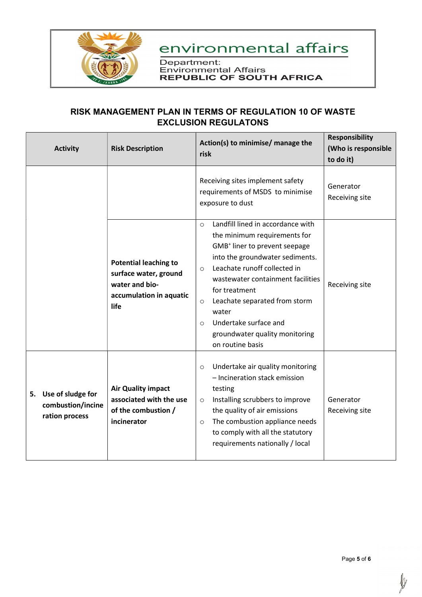

Department: Environmental Affairs<br>REPUBLIC OF SOUTH AFRICA

### RISK MANAGEMENT PLAN IN TERMS OF REGULATION 10 OF WASTE EXCLUSION REGULATONS

| <b>Activity</b>                                                | <b>Risk Description</b>                                                                                    | Action(s) to minimise/ manage the<br>risk                                                                                                                                                                                                                                                                                                                                                                    | <b>Responsibility</b><br>(Who is responsible<br>to do it) |
|----------------------------------------------------------------|------------------------------------------------------------------------------------------------------------|--------------------------------------------------------------------------------------------------------------------------------------------------------------------------------------------------------------------------------------------------------------------------------------------------------------------------------------------------------------------------------------------------------------|-----------------------------------------------------------|
|                                                                |                                                                                                            | Receiving sites implement safety<br>requirements of MSDS to minimise<br>exposure to dust                                                                                                                                                                                                                                                                                                                     | Generator<br>Receiving site                               |
|                                                                | <b>Potential leaching to</b><br>surface water, ground<br>water and bio-<br>accumulation in aquatic<br>life | Landfill lined in accordance with<br>$\circ$<br>the minimum requirements for<br>GMB <sup>+</sup> liner to prevent seepage<br>into the groundwater sediments.<br>Leachate runoff collected in<br>$\circ$<br>wastewater containment facilities<br>for treatment<br>Leachate separated from storm<br>$\circ$<br>water<br>Undertake surface and<br>$\circ$<br>groundwater quality monitoring<br>on routine basis | Receiving site                                            |
| Use of sludge for<br>5.<br>combustion/incine<br>ration process | <b>Air Quality impact</b><br>associated with the use<br>of the combustion /<br>incinerator                 | Undertake air quality monitoring<br>$\circ$<br>- Incineration stack emission<br>testing<br>Installing scrubbers to improve<br>$\circ$<br>the quality of air emissions<br>The combustion appliance needs<br>$\circ$<br>to comply with all the statutory<br>requirements nationally / local                                                                                                                    | Generator<br>Receiving site                               |